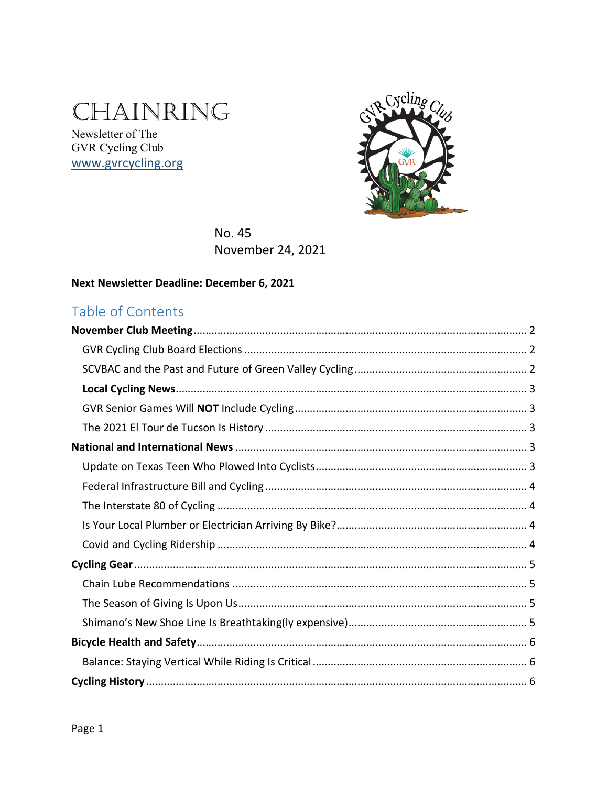# CHAINRING

Newsletter of The GVR Cycling Club www.gvrcycling.org



No. 45 November 24, 2021

#### Next Newsletter Deadline: December 6, 2021

# Table of Contents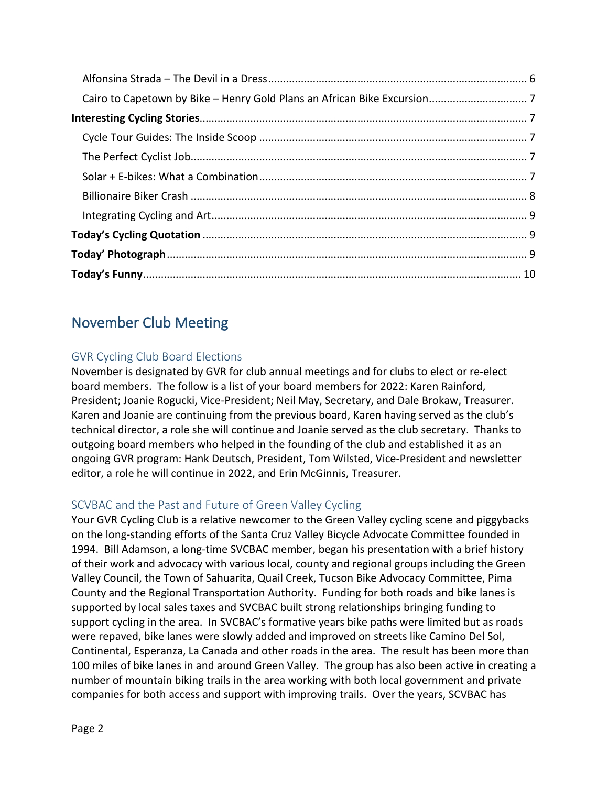# <span id="page-1-0"></span>November Club Meeting

## <span id="page-1-1"></span>GVR Cycling Club Board Elections

November is designated by GVR for club annual meetings and for clubs to elect or re-elect board members. The follow is a list of your board members for 2022: Karen Rainford, President; Joanie Rogucki, Vice-President; Neil May, Secretary, and Dale Brokaw, Treasurer. Karen and Joanie are continuing from the previous board, Karen having served as the club's technical director, a role she will continue and Joanie served as the club secretary. Thanks to outgoing board members who helped in the founding of the club and established it as an ongoing GVR program: Hank Deutsch, President, Tom Wilsted, Vice-President and newsletter editor, a role he will continue in 2022, and Erin McGinnis, Treasurer.

## <span id="page-1-2"></span>SCVBAC and the Past and Future of Green Valley Cycling

Your GVR Cycling Club is a relative newcomer to the Green Valley cycling scene and piggybacks on the long-standing efforts of the Santa Cruz Valley Bicycle Advocate Committee founded in 1994. Bill Adamson, a long-time SVCBAC member, began his presentation with a brief history of their work and advocacy with various local, county and regional groups including the Green Valley Council, the Town of Sahuarita, Quail Creek, Tucson Bike Advocacy Committee, Pima County and the Regional Transportation Authority. Funding for both roads and bike lanes is supported by local sales taxes and SVCBAC built strong relationships bringing funding to support cycling in the area. In SVCBAC's formative years bike paths were limited but as roads were repaved, bike lanes were slowly added and improved on streets like Camino Del Sol, Continental, Esperanza, La Canada and other roads in the area. The result has been more than 100 miles of bike lanes in and around Green Valley. The group has also been active in creating a number of mountain biking trails in the area working with both local government and private companies for both access and support with improving trails. Over the years, SCVBAC has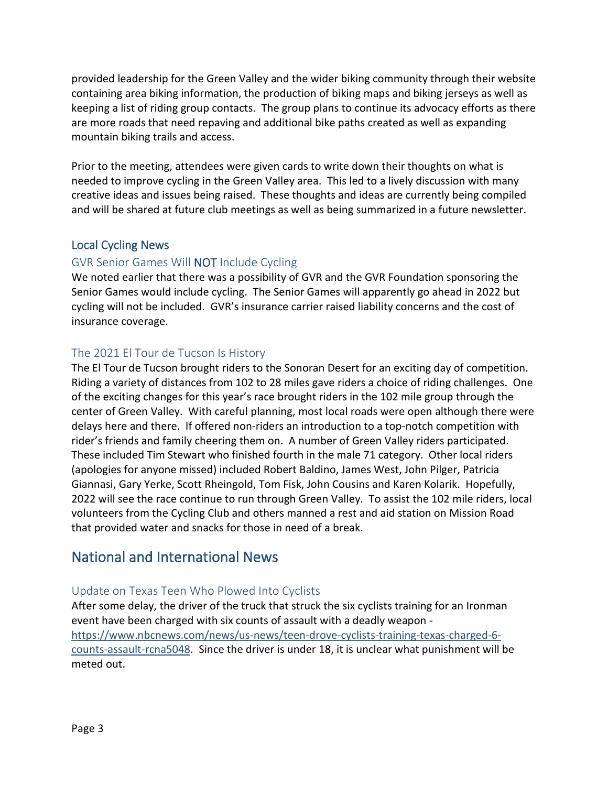provided leadership for the Green Valley and the wider biking community through their website containing area biking information, the production of biking maps and biking jerseys as well as keeping a list of riding group contacts. The group plans to continue its advocacy efforts as there are more roads that need repaving and additional bike paths created as well as expanding mountain biking trails and access.

Prior to the meeting, attendees were given cards to write down their thoughts on what is needed to improve cycling in the Green Valley area. This led to a lively discussion with many creative ideas and issues being raised. These thoughts and ideas are currently being compiled and will be shared at future club meetings as well as being summarized in a future newsletter.

#### <span id="page-2-0"></span>Local Cycling News

#### <span id="page-2-1"></span>GVR Senior Games Will NOT Include Cycling

We noted earlier that there was a possibility of GVR and the GVR Foundation sponsoring the Senior Games would include cycling. The Senior Games will apparently go ahead in 2022 but cycling will not be included. GVR's insurance carrier raised liability concerns and the cost of insurance coverage.

#### <span id="page-2-2"></span>The 2021 El Tour de Tucson Is History

The El Tour de Tucson brought riders to the Sonoran Desert for an exciting day of competition. Riding a variety of distances from 102 to 28 miles gave riders a choice of riding challenges. One of the exciting changes for this year's race brought riders in the 102 mile group through the center of Green Valley. With careful planning, most local roads were open although there were delays here and there. If offered non-riders an introduction to a top-notch competition with rider's friends and family cheering them on. A number of Green Valley riders participated. These included Tim Stewart who finished fourth in the male 71 category. Other local riders (apologies for anyone missed) included Robert Baldino, James West, John Pilger, Patricia Giannasi, Gary Yerke, Scott Rheingold, Tom Fisk, John Cousins and Karen Kolarik. Hopefully, 2022 will see the race continue to run through Green Valley. To assist the 102 mile riders, local volunteers from the Cycling Club and others manned a rest and aid station on Mission Road that provided water and snacks for those in need of a break.

## <span id="page-2-3"></span>National and International News

## <span id="page-2-4"></span>Update on Texas Teen Who Plowed Into Cyclists

After some delay, the driver of the truck that struck the six cyclists training for an Ironman event have been charged with six counts of assault with a deadly weapon [https://www.nbcnews.com/news/us-news/teen-drove-cyclists-training-texas-charged-6](https://www.nbcnews.com/news/us-news/teen-drove-cyclists-training-texas-charged-6-counts-assault-rcna5048) [counts-assault-rcna5048.](https://www.nbcnews.com/news/us-news/teen-drove-cyclists-training-texas-charged-6-counts-assault-rcna5048) Since the driver is under 18, it is unclear what punishment will be meted out.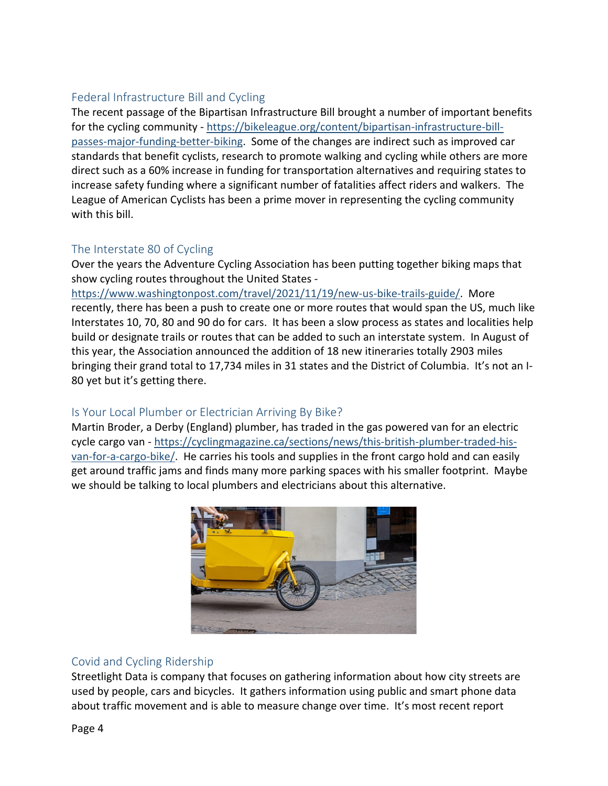## <span id="page-3-0"></span>Federal Infrastructure Bill and Cycling

The recent passage of the Bipartisan Infrastructure Bill brought a number of important benefits for the cycling community - [https://bikeleague.org/content/bipartisan-infrastructure-bill](https://bikeleague.org/content/bipartisan-infrastructure-bill-passes-major-funding-better-biking)[passes-major-funding-better-biking.](https://bikeleague.org/content/bipartisan-infrastructure-bill-passes-major-funding-better-biking) Some of the changes are indirect such as improved car standards that benefit cyclists, research to promote walking and cycling while others are more direct such as a 60% increase in funding for transportation alternatives and requiring states to increase safety funding where a significant number of fatalities affect riders and walkers. The League of American Cyclists has been a prime mover in representing the cycling community with this bill.

## <span id="page-3-1"></span>The Interstate 80 of Cycling

Over the years the Adventure Cycling Association has been putting together biking maps that show cycling routes throughout the United States -

[https://www.washingtonpost.com/travel/2021/11/19/new-us-bike-trails-guide/.](https://www.washingtonpost.com/travel/2021/11/19/new-us-bike-trails-guide/) More recently, there has been a push to create one or more routes that would span the US, much like Interstates 10, 70, 80 and 90 do for cars. It has been a slow process as states and localities help build or designate trails or routes that can be added to such an interstate system. In August of this year, the Association announced the addition of 18 new itineraries totally 2903 miles bringing their grand total to 17,734 miles in 31 states and the District of Columbia. It's not an I-80 yet but it's getting there.

## <span id="page-3-2"></span>Is Your Local Plumber or Electrician Arriving By Bike?

Martin Broder, a Derby (England) plumber, has traded in the gas powered van for an electric cycle cargo van - [https://cyclingmagazine.ca/sections/news/this-british-plumber-traded-his](https://cyclingmagazine.ca/sections/news/this-british-plumber-traded-his-van-for-a-cargo-bike/)[van-for-a-cargo-bike/.](https://cyclingmagazine.ca/sections/news/this-british-plumber-traded-his-van-for-a-cargo-bike/) He carries his tools and supplies in the front cargo hold and can easily get around traffic jams and finds many more parking spaces with his smaller footprint. Maybe we should be talking to local plumbers and electricians about this alternative.



## <span id="page-3-3"></span>Covid and Cycling Ridership

Streetlight Data is company that focuses on gathering information about how city streets are used by people, cars and bicycles. It gathers information using public and smart phone data about traffic movement and is able to measure change over time. It's most recent report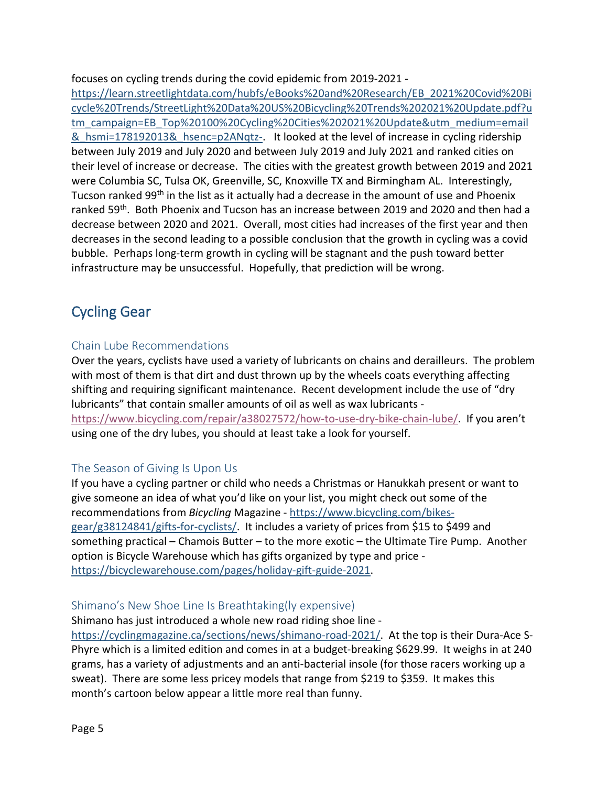focuses on cycling trends during the covid epidemic from 2019-2021 -

[https://learn.streetlightdata.com/hubfs/eBooks%20and%20Research/EB\\_2021%20Covid%20Bi](https://learn.streetlightdata.com/hubfs/eBooks%20and%20Research/EB_2021%20Covid%20Bicycle%20Trends/StreetLight%20Data%20US%20Bicycling%20Trends%202021%20Update.pdf?utm_campaign=EB_Top%20100%20Cycling%20Cities%202021%20Update&utm_medium=email&_hsmi=178192013&_hsenc=p2ANqtz-) [cycle%20Trends/StreetLight%20Data%20US%20Bicycling%20Trends%202021%20Update.pdf?u](https://learn.streetlightdata.com/hubfs/eBooks%20and%20Research/EB_2021%20Covid%20Bicycle%20Trends/StreetLight%20Data%20US%20Bicycling%20Trends%202021%20Update.pdf?utm_campaign=EB_Top%20100%20Cycling%20Cities%202021%20Update&utm_medium=email&_hsmi=178192013&_hsenc=p2ANqtz-) [tm\\_campaign=EB\\_Top%20100%20Cycling%20Cities%202021%20Update&utm\\_medium=email](https://learn.streetlightdata.com/hubfs/eBooks%20and%20Research/EB_2021%20Covid%20Bicycle%20Trends/StreetLight%20Data%20US%20Bicycling%20Trends%202021%20Update.pdf?utm_campaign=EB_Top%20100%20Cycling%20Cities%202021%20Update&utm_medium=email&_hsmi=178192013&_hsenc=p2ANqtz-) & hsmi=178192013& hsenc=p2ANqtz-. It looked at the level of increase in cycling ridership between July 2019 and July 2020 and between July 2019 and July 2021 and ranked cities on their level of increase or decrease. The cities with the greatest growth between 2019 and 2021 were Columbia SC, Tulsa OK, Greenville, SC, Knoxville TX and Birmingham AL. Interestingly, Tucson ranked 99<sup>th</sup> in the list as it actually had a decrease in the amount of use and Phoenix ranked 59th. Both Phoenix and Tucson has an increase between 2019 and 2020 and then had a decrease between 2020 and 2021. Overall, most cities had increases of the first year and then decreases in the second leading to a possible conclusion that the growth in cycling was a covid bubble. Perhaps long-term growth in cycling will be stagnant and the push toward better infrastructure may be unsuccessful. Hopefully, that prediction will be wrong.

# <span id="page-4-0"></span>Cycling Gear

#### <span id="page-4-1"></span>Chain Lube Recommendations

Over the years, cyclists have used a variety of lubricants on chains and derailleurs. The problem with most of them is that dirt and dust thrown up by the wheels coats everything affecting shifting and requiring significant maintenance. Recent development include the use of "dry lubricants" that contain smaller amounts of oil as well as wax lubricants [https://www.bicycling.com/repair/a38027572/how-to-use-dry-bike-chain-lube/.](https://www.bicycling.com/repair/a38027572/how-to-use-dry-bike-chain-lube/) If you aren't using one of the dry lubes, you should at least take a look for yourself.

## <span id="page-4-2"></span>The Season of Giving Is Upon Us

If you have a cycling partner or child who needs a Christmas or Hanukkah present or want to give someone an idea of what you'd like on your list, you might check out some of the recommendations from *Bicycling* Magazine - [https://www.bicycling.com/bikes](https://www.bicycling.com/bikes-gear/g38124841/gifts-for-cyclists/)[gear/g38124841/gifts-for-cyclists/.](https://www.bicycling.com/bikes-gear/g38124841/gifts-for-cyclists/) It includes a variety of prices from \$15 to \$499 and something practical – Chamois Butter – to the more exotic – the Ultimate Tire Pump. Another option is Bicycle Warehouse which has gifts organized by type and price [https://bicyclewarehouse.com/pages/holiday-gift-guide-2021.](https://bicyclewarehouse.com/pages/holiday-gift-guide-2021)

#### <span id="page-4-3"></span>Shimano's New Shoe Line Is Breathtaking(ly expensive)

Shimano has just introduced a whole new road riding shoe line [https://cyclingmagazine.ca/sections/news/shimano-road-2021/.](https://cyclingmagazine.ca/sections/news/shimano-road-2021/) At the top is their Dura-Ace S-

Phyre which is a limited edition and comes in at a budget-breaking \$629.99. It weighs in at 240 grams, has a variety of adjustments and an anti-bacterial insole (for those racers working up a sweat). There are some less pricey models that range from \$219 to \$359. It makes this month's cartoon below appear a little more real than funny.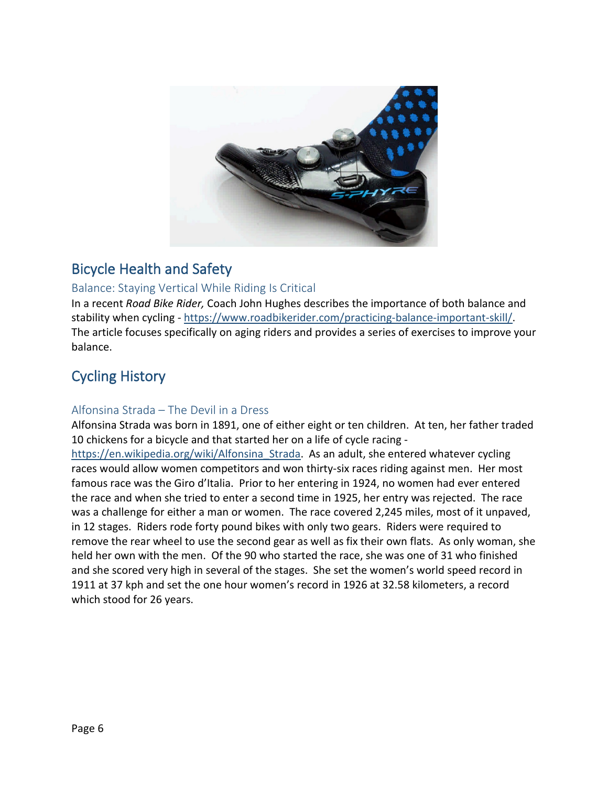

# <span id="page-5-0"></span>Bicycle Health and Safety

#### <span id="page-5-1"></span>Balance: Staying Vertical While Riding Is Critical

In a recent *Road Bike Rider,* Coach John Hughes describes the importance of both balance and stability when cycling - [https://www.roadbikerider.com/practicing-balance-important-skill/.](https://www.roadbikerider.com/practicing-balance-important-skill/) The article focuses specifically on aging riders and provides a series of exercises to improve your balance.

# <span id="page-5-2"></span>Cycling History

#### <span id="page-5-3"></span>Alfonsina Strada – The Devil in a Dress

Alfonsina Strada was born in 1891, one of either eight or ten children. At ten, her father traded 10 chickens for a bicycle and that started her on a life of cycle racing -

https://en.wikipedia.org/wiki/Alfonsina Strada. As an adult, she entered whatever cycling races would allow women competitors and won thirty-six races riding against men. Her most famous race was the Giro d'Italia. Prior to her entering in 1924, no women had ever entered the race and when she tried to enter a second time in 1925, her entry was rejected. The race was a challenge for either a man or women. The race covered 2,245 miles, most of it unpaved, in 12 stages. Riders rode forty pound bikes with only two gears. Riders were required to remove the rear wheel to use the second gear as well as fix their own flats. As only woman, she held her own with the men. Of the 90 who started the race, she was one of 31 who finished and she scored very high in several of the stages. She set the women's world speed record in 1911 at 37 kph and set the one hour women's record in 1926 at 32.58 kilometers, a record which stood for 26 years.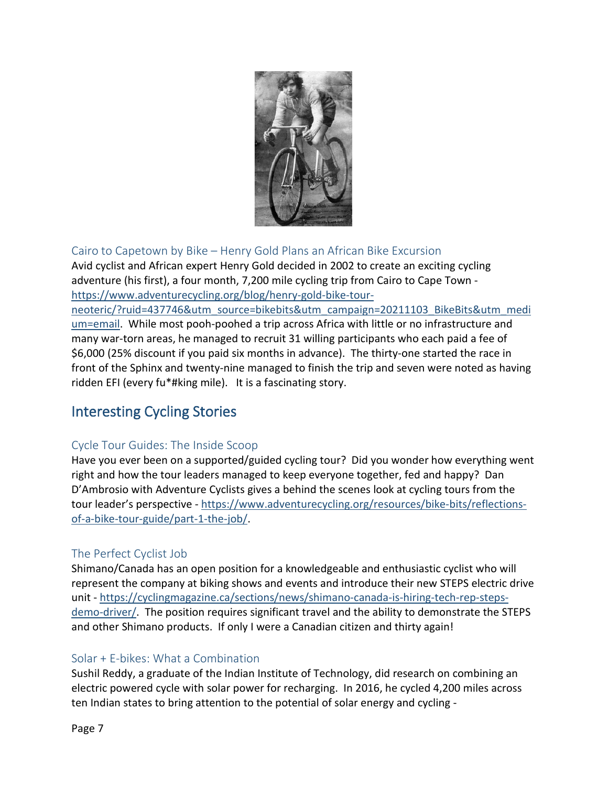

## <span id="page-6-0"></span>Cairo to Capetown by Bike – Henry Gold Plans an African Bike Excursion

Avid cyclist and African expert Henry Gold decided in 2002 to create an exciting cycling adventure (his first), a four month, 7,200 mile cycling trip from Cairo to Cape Town [https://www.adventurecycling.org/blog/henry-gold-bike-tour-](https://www.adventurecycling.org/blog/henry-gold-bike-tour-neoteric/?ruid=437746&utm_source=bikebits&utm_campaign=20211103_BikeBits&utm_medium=email)

[neoteric/?ruid=437746&utm\\_source=bikebits&utm\\_campaign=20211103\\_BikeBits&utm\\_medi](https://www.adventurecycling.org/blog/henry-gold-bike-tour-neoteric/?ruid=437746&utm_source=bikebits&utm_campaign=20211103_BikeBits&utm_medium=email) [um=email.](https://www.adventurecycling.org/blog/henry-gold-bike-tour-neoteric/?ruid=437746&utm_source=bikebits&utm_campaign=20211103_BikeBits&utm_medium=email) While most pooh-poohed a trip across Africa with little or no infrastructure and many war-torn areas, he managed to recruit 31 willing participants who each paid a fee of \$6,000 (25% discount if you paid six months in advance). The thirty-one started the race in front of the Sphinx and twenty-nine managed to finish the trip and seven were noted as having ridden EFI (every fu\*#king mile). It is a fascinating story.

# <span id="page-6-1"></span>Interesting Cycling Stories

## <span id="page-6-2"></span>Cycle Tour Guides: The Inside Scoop

Have you ever been on a supported/guided cycling tour? Did you wonder how everything went right and how the tour leaders managed to keep everyone together, fed and happy? Dan D'Ambrosio with Adventure Cyclists gives a behind the scenes look at cycling tours from the tour leader's perspective - [https://www.adventurecycling.org/resources/bike-bits/reflections](https://www.adventurecycling.org/resources/bike-bits/reflections-of-a-bike-tour-guide/part-1-the-job/)[of-a-bike-tour-guide/part-1-the-job/.](https://www.adventurecycling.org/resources/bike-bits/reflections-of-a-bike-tour-guide/part-1-the-job/)

## <span id="page-6-3"></span>The Perfect Cyclist Job

Shimano/Canada has an open position for a knowledgeable and enthusiastic cyclist who will represent the company at biking shows and events and introduce their new STEPS electric drive unit - [https://cyclingmagazine.ca/sections/news/shimano-canada-is-hiring-tech-rep-steps](https://cyclingmagazine.ca/sections/news/shimano-canada-is-hiring-tech-rep-steps-demo-driver/)[demo-driver/.](https://cyclingmagazine.ca/sections/news/shimano-canada-is-hiring-tech-rep-steps-demo-driver/) The position requires significant travel and the ability to demonstrate the STEPS and other Shimano products. If only I were a Canadian citizen and thirty again!

## <span id="page-6-4"></span>Solar + E-bikes: What a Combination

Sushil Reddy, a graduate of the Indian Institute of Technology, did research on combining an electric powered cycle with solar power for recharging. In 2016, he cycled 4,200 miles across ten Indian states to bring attention to the potential of solar energy and cycling -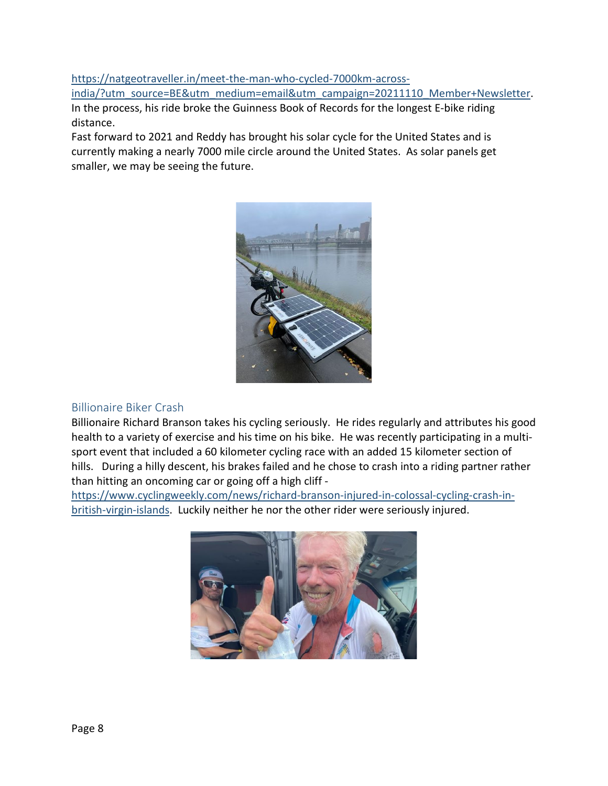[https://natgeotraveller.in/meet-the-man-who-cycled-7000km-across-](https://natgeotraveller.in/meet-the-man-who-cycled-7000km-across-india/?utm_source=BE&utm_medium=email&utm_campaign=20211110_Member+Newsletter)

[india/?utm\\_source=BE&utm\\_medium=email&utm\\_campaign=20211110\\_Member+Newsletter.](https://natgeotraveller.in/meet-the-man-who-cycled-7000km-across-india/?utm_source=BE&utm_medium=email&utm_campaign=20211110_Member+Newsletter) In the process, his ride broke the Guinness Book of Records for the longest E-bike riding distance.

Fast forward to 2021 and Reddy has brought his solar cycle for the United States and is currently making a nearly 7000 mile circle around the United States. As solar panels get smaller, we may be seeing the future.



## <span id="page-7-0"></span>Billionaire Biker Crash

Billionaire Richard Branson takes his cycling seriously. He rides regularly and attributes his good health to a variety of exercise and his time on his bike. He was recently participating in a multisport event that included a 60 kilometer cycling race with an added 15 kilometer section of hills. During a hilly descent, his brakes failed and he chose to crash into a riding partner rather than hitting an oncoming car or going off a high cliff -

[https://www.cyclingweekly.com/news/richard-branson-injured-in-colossal-cycling-crash-in](https://www.cyclingweekly.com/news/richard-branson-injured-in-colossal-cycling-crash-in-british-virgin-islands)[british-virgin-islands.](https://www.cyclingweekly.com/news/richard-branson-injured-in-colossal-cycling-crash-in-british-virgin-islands) Luckily neither he nor the other rider were seriously injured.

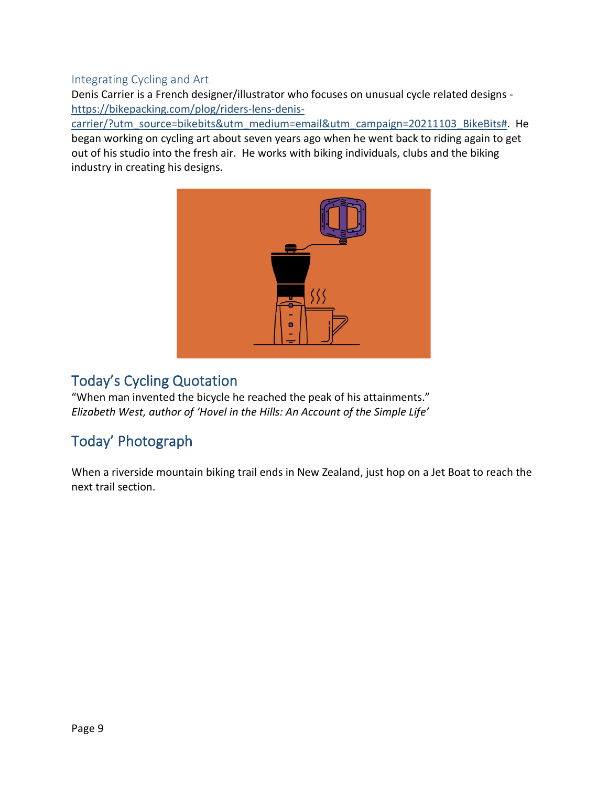#### <span id="page-8-0"></span>Integrating Cycling and Art

Denis Carrier is a French designer/illustrator who focuses on unusual cycle related designs [https://bikepacking.com/plog/riders-lens-denis-](https://bikepacking.com/plog/riders-lens-denis-carrier/?utm_source=bikebits&utm_medium=email&utm_campaign=20211103_BikeBits)

[carrier/?utm\\_source=bikebits&utm\\_medium=email&utm\\_campaign=20211103\\_BikeBits#.](https://bikepacking.com/plog/riders-lens-denis-carrier/?utm_source=bikebits&utm_medium=email&utm_campaign=20211103_BikeBits) He began working on cycling art about seven years ago when he went back to riding again to get out of his studio into the fresh air. He works with biking individuals, clubs and the biking industry in creating his designs.



# <span id="page-8-1"></span>Today's Cycling Quotation

"When man invented the bicycle he reached the peak of his attainments." *Elizabeth West, author of 'Hovel in the Hills: An Account of the Simple Life'*

# <span id="page-8-2"></span>Today' Photograph

When a riverside mountain biking trail ends in New Zealand, just hop on a Jet Boat to reach the next trail section.